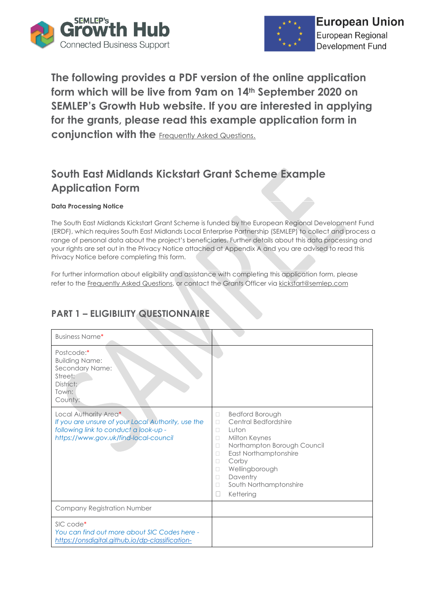



**The following provides a PDF version of the online application form which will be live from 9am on 14th September 2020 on SEMLEP's Growth Hub website. If you are interested in applying for the grants, please read this example application form in conjunction with the [Frequently Asked Questions.](https://www.semlepgrowthhub.com/covid-19-business-grants/)** 

# **South East Midlands Kickstart Grant Scheme Example Application Form**

#### **Data Processing Notice**

The South East Midlands Kickstart Grant Scheme is funded by the European Regional Development Fund (ERDF), which requires South East Midlands Local Enterprise Partnership (SEMLEP) to collect and process a range of personal data about the project's beneficiaries. Further details about this data processing and your rights are set out in the Privacy Notice attached at Appendix A and you are advised to read this Privacy Notice before completing this form.

For further information about eligibility and assistance with completing this application form, please refer to th[e Frequently Asked Questions,](https://www.semlepgrowthhub.com/covid-19-business-grants/) or contact the Grants Officer via [kickstart@semlep.com](mailto:kickstart@semlep.com) 

### **PART 1 – ELIGIBILITY QUESTIONNAIRE**

| <b>Business Name*</b>                                                                                                                                         |                                                                                                                                                                                                                                                                                                     |
|---------------------------------------------------------------------------------------------------------------------------------------------------------------|-----------------------------------------------------------------------------------------------------------------------------------------------------------------------------------------------------------------------------------------------------------------------------------------------------|
| Postcode:*<br><b>Building Name:</b><br>Secondary Name:<br>Street:<br>District:<br>Town:<br>County:                                                            |                                                                                                                                                                                                                                                                                                     |
| Local Authority Area*<br>If you are unsure of your Local Authority, use the<br>following link to conduct a look-up -<br>https://www.gov.uk/find-local-council | <b>Bedford Borough</b><br>$\Box$<br>Central Bedfordshire<br>П<br>Luton<br>П<br>Milton Keynes<br>$\Box$<br>Northampton Borough Council<br>$\Box$<br>East Northamptonshire<br>$\Box$<br>Corby<br>П<br>Wellingborough<br>П<br>Daventry<br>$\Box$<br>South Northamptonshire<br>$\Box$<br>Kettering<br>Ш |
| <b>Company Registration Number</b>                                                                                                                            |                                                                                                                                                                                                                                                                                                     |
| SIC code*<br>You can find out more about SIC Codes here -<br>https://onsdigital.github.io/dp-classification-                                                  |                                                                                                                                                                                                                                                                                                     |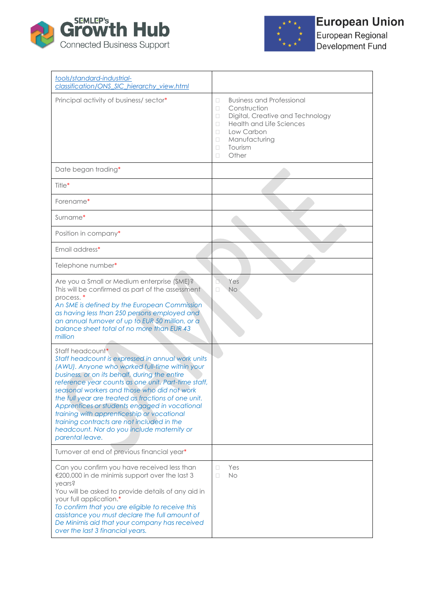



European Regional<br>Development Fund

| tools/standard-industrial-<br>classification/ONS SIC hierarchy view.html                                                                                                                                                                                                                                                                                                                                                                                                                                                                                                                                                                                                                                                                                                                                                                                                                     |                                                                                                                                                                                                                                   |
|----------------------------------------------------------------------------------------------------------------------------------------------------------------------------------------------------------------------------------------------------------------------------------------------------------------------------------------------------------------------------------------------------------------------------------------------------------------------------------------------------------------------------------------------------------------------------------------------------------------------------------------------------------------------------------------------------------------------------------------------------------------------------------------------------------------------------------------------------------------------------------------------|-----------------------------------------------------------------------------------------------------------------------------------------------------------------------------------------------------------------------------------|
| Principal activity of business/sector*                                                                                                                                                                                                                                                                                                                                                                                                                                                                                                                                                                                                                                                                                                                                                                                                                                                       | <b>Business and Professional</b><br>$\Box$<br>Construction<br>$\Box$<br>Digital, Creative and Technology<br>П<br><b>Health and Life Sciences</b><br>O<br>Low Carbon<br>П<br>Manufacturing<br>□<br>Tourism<br>$\Box$<br>Other<br>□ |
| Date began trading*                                                                                                                                                                                                                                                                                                                                                                                                                                                                                                                                                                                                                                                                                                                                                                                                                                                                          |                                                                                                                                                                                                                                   |
| Title*                                                                                                                                                                                                                                                                                                                                                                                                                                                                                                                                                                                                                                                                                                                                                                                                                                                                                       |                                                                                                                                                                                                                                   |
| Forename*                                                                                                                                                                                                                                                                                                                                                                                                                                                                                                                                                                                                                                                                                                                                                                                                                                                                                    |                                                                                                                                                                                                                                   |
| Surname*                                                                                                                                                                                                                                                                                                                                                                                                                                                                                                                                                                                                                                                                                                                                                                                                                                                                                     |                                                                                                                                                                                                                                   |
| Position in company*                                                                                                                                                                                                                                                                                                                                                                                                                                                                                                                                                                                                                                                                                                                                                                                                                                                                         |                                                                                                                                                                                                                                   |
| Email address*                                                                                                                                                                                                                                                                                                                                                                                                                                                                                                                                                                                                                                                                                                                                                                                                                                                                               |                                                                                                                                                                                                                                   |
| Telephone number*                                                                                                                                                                                                                                                                                                                                                                                                                                                                                                                                                                                                                                                                                                                                                                                                                                                                            |                                                                                                                                                                                                                                   |
| Are you a Small or Medium enterprise (SME)?<br>This will be confirmed as part of the assessment<br>process. <sup>*</sup><br>An SME is defined by the European Commission<br>as having less than 250 persons employed and<br>an annual turnover of up to EUR 50 million, or a<br>balance sheet total of no more than EUR 43<br>million<br>Staff headcount*<br>Staff headcount is expressed in annual work units<br>(AWU). Anyone who worked full-time within your<br>business, or on its behalf, during the entire<br>reference year counts as one unit. Part-time staff,<br>seasonal workers and those who did not work<br>the full year are treated as fractions of one unit.<br>Apprentices or students engaged in vocational<br>training with apprenticeship or vocational<br>training contracts are not included in the<br>headcount. Nor do you include maternity or<br>parental leave. | Yes<br>$\Box$<br>$\Box$<br><b>No</b>                                                                                                                                                                                              |
| Turnover at end of previous financial year*                                                                                                                                                                                                                                                                                                                                                                                                                                                                                                                                                                                                                                                                                                                                                                                                                                                  |                                                                                                                                                                                                                                   |
| Can you confirm you have received less than<br>€200,000 in de minimis support over the last 3<br>years?<br>You will be asked to provide details of any aid in<br>your full application.*<br>To confirm that you are eligible to receive this<br>assistance you must declare the full amount of<br>De Minimis aid that your company has received<br>over the last 3 financial years.                                                                                                                                                                                                                                                                                                                                                                                                                                                                                                          | Yes<br>$\Box$<br><b>No</b><br>$\Box$                                                                                                                                                                                              |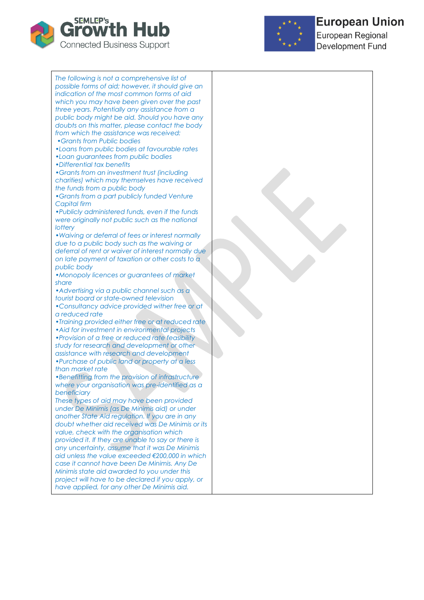



# **European Union**

European Regional **Development Fund** 

*The following is not a comprehensive list of possible forms of aid; however, it should give an indication of the most common forms of aid which you may have been given over the past three years. Potentially any assistance from a public body might be aid. Should you have any doubts on this matter, please contact the body from which the assistance was received: •Grants from Public bodies •Loans from public bodies at favourable rates*

*•Loan guarantees from public bodies*

*•Differential tax benefits*

*•Grants from an investment trust (including charities) which may themselves have received the funds from a public body*

*•Grants from a part publicly funded Venture Capital firm*

*•Publicly administered funds, even if the funds were originally not public such as the national lottery*

*•Waiving or deferral of fees or interest normally due to a public body such as the waiving or deferral of rent or waiver of interest normally due on late payment of taxation or other costs to a public body*

*•Monopoly licences or guarantees of market share*

*•Advertising via a public channel such as a tourist board or state-owned television*

*•Consultancy advice provided wither free or at a reduced rate*

*•Training provided either free or at reduced rate •Aid for investment in environmental projects •Provision of a free or reduced rate feasibility study for research and development or other assistance with research and development •Purchase of public land or property at a less than market rate*

*•Benefitting from the provision of infrastructure where your organisation was pre-identified as a beneficiary*

*These types of aid may have been provided under De Minimis (as De Minimis aid) or under another State Aid regulation. If you are in any doubt whether aid received was De Minimis or its value, check with the organisation which provided it. If they are unable to say or there is any uncertainty, assume that it was De Minimis aid unless the value exceeded €200,000 in which case it cannot have been De Minimis. Any De Minimis state aid awarded to you under this project will have to be declared if you apply, or have applied, for any other De Minimis aid.*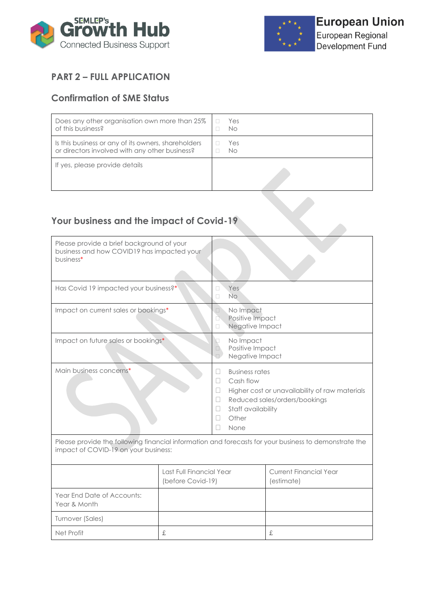



## **PART 2 – FULL APPLICATION**

### **Confirmation of SME Status**

| Does any other organisation own more than 25%       | Yes |
|-----------------------------------------------------|-----|
| of this business?                                   | No  |
| Is this business or any of its owners, shareholders | Yes |
| or directors involved with any other business?      | No  |
| If yes, please provide details                      |     |

### **Your business and the impact of Covid-19**

| Please provide a brief background of your<br>business and how COVID19 has impacted your<br>business*                                          |                                               |                                                                                                                               |                                                                                 |
|-----------------------------------------------------------------------------------------------------------------------------------------------|-----------------------------------------------|-------------------------------------------------------------------------------------------------------------------------------|---------------------------------------------------------------------------------|
| Has Covid 19 impacted your business?*                                                                                                         |                                               | <b>Yes</b><br>П<br><b>No</b><br>П                                                                                             |                                                                                 |
| Impact on current sales or bookings*                                                                                                          |                                               | No Impact<br>$\Box$<br>Positive Impact<br>n<br>Negative Impact<br>о                                                           |                                                                                 |
| Impact on future sales or bookings*                                                                                                           |                                               | No Impact<br>П<br>Positive Impact<br>$\Box$<br>Negative Impact<br>$\Box$                                                      |                                                                                 |
| Main business concerns*                                                                                                                       |                                               | <b>Business rates</b><br>П<br>Cash flow<br>$\mathbf{I}$<br>П<br>$\mathbf{I}$<br>Staff availability<br>Ш<br>Other<br>П<br>None | Higher cost or unavailability of raw materials<br>Reduced sales/orders/bookings |
| Please provide the following financial information and forecasts for your business to demonstrate the<br>impact of COVID-19 on your business: |                                               |                                                                                                                               |                                                                                 |
|                                                                                                                                               | Last Full Financial Year<br>(before Covid-19) |                                                                                                                               | <b>Current Financial Year</b><br>(estimate)                                     |
| Year End Date of Accounts:<br>Year & Month                                                                                                    |                                               |                                                                                                                               |                                                                                 |
| Turnover (Sales)                                                                                                                              |                                               |                                                                                                                               |                                                                                 |
| Net Profit                                                                                                                                    | £                                             |                                                                                                                               | £                                                                               |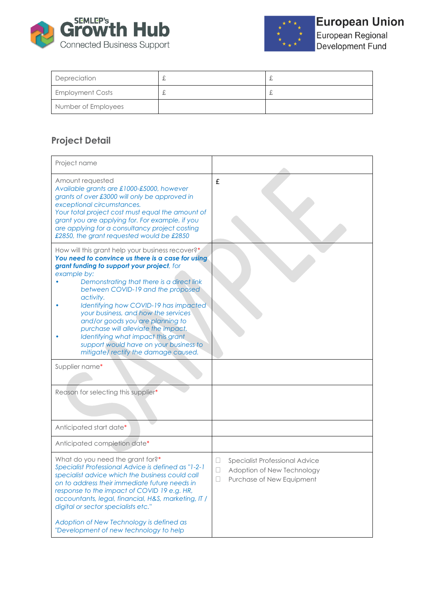



European Regional<br>Development Fund

| Depreciation            | む | ഄ |
|-------------------------|---|---|
| <b>Employment Costs</b> | £ | ഄ |
| Number of Employees     |   |   |

# **Project Detail**

| Project name                                                                                                                                                                                                                                                                                                                                                                                                                                                                                                                                        |                                                                                                          |
|-----------------------------------------------------------------------------------------------------------------------------------------------------------------------------------------------------------------------------------------------------------------------------------------------------------------------------------------------------------------------------------------------------------------------------------------------------------------------------------------------------------------------------------------------------|----------------------------------------------------------------------------------------------------------|
| Amount requested<br>Available grants are £1000-£5000, however<br>grants of over £3000 will only be approved in<br>exceptional circumstances.<br>Your total project cost must equal the amount of<br>grant you are applying for. For example, if you<br>are applying for a consultancy project costing<br>£2850, the grant requested would be £2850                                                                                                                                                                                                  | £                                                                                                        |
| How will this grant help your business recover?*<br>You need to convince us there is a case for using<br>grant funding to support your project, for<br>example by:<br>Demonstrating that there is a direct link<br>between COVID-19 and the proposed<br>activity.<br>Identifying how COVID-19 has impacted<br>your business, and how the services<br>and/or goods you are planning to<br>purchase will alleviate the impact.<br>Identifying what impact this grant<br>support would have on your business to<br>mitigate/rectify the damage caused. |                                                                                                          |
| Supplier name*                                                                                                                                                                                                                                                                                                                                                                                                                                                                                                                                      |                                                                                                          |
| Reason for selecting this supplier*                                                                                                                                                                                                                                                                                                                                                                                                                                                                                                                 |                                                                                                          |
| Anticipated start date*                                                                                                                                                                                                                                                                                                                                                                                                                                                                                                                             |                                                                                                          |
| Anticipated completion date*                                                                                                                                                                                                                                                                                                                                                                                                                                                                                                                        |                                                                                                          |
| What do you need the grant for?*<br>Specialist Professional Advice is defined as "1-2-1<br>specialist advice which the business could call<br>on to address their immediate future needs in<br>response to the impact of COVID 19 e.g. HR,<br>accountants, legal, financial, H&S, marketing, IT /<br>digital or sector specialists etc."<br>Adoption of New Technology is defined as<br>"Development of new technology to help                                                                                                                      | Specialist Professional Advice<br>$\Box$<br>Adoption of New Technology<br>П<br>Purchase of New Equipment |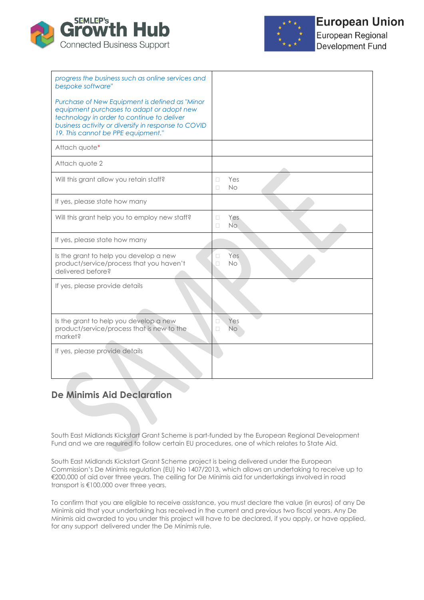



European Regional Development Fund

| progress the business such as online services and<br>bespoke software"                                                                                                                                                                 |                            |
|----------------------------------------------------------------------------------------------------------------------------------------------------------------------------------------------------------------------------------------|----------------------------|
| Purchase of New Equipment is defined as "Minor<br>equipment purchases to adapt or adopt new<br>technology in order to continue to deliver<br>business activity or diversify in response to COVID<br>19. This cannot be PPE equipment." |                            |
| Attach quote*                                                                                                                                                                                                                          |                            |
| Attach quote 2                                                                                                                                                                                                                         |                            |
| Will this grant allow you retain staff?                                                                                                                                                                                                | Yes<br>O<br><b>No</b><br>п |
| If yes, please state how many                                                                                                                                                                                                          |                            |
| Will this grant help you to employ new staff?                                                                                                                                                                                          | П<br>Yes<br>No.<br>П       |
| If yes, please state how many                                                                                                                                                                                                          |                            |
| Is the grant to help you develop a new<br>product/service/process that you haven't<br>delivered before?                                                                                                                                | Yes<br>п<br>П<br><b>No</b> |
| If yes, please provide details                                                                                                                                                                                                         |                            |
| Is the grant to help you develop a new<br>product/service/process that is new to the<br>market?                                                                                                                                        | Yes<br>□<br>П<br><b>No</b> |
| If yes, please provide details                                                                                                                                                                                                         |                            |

### **De Minimis Aid Declaration**

South East Midlands Kickstart Grant Scheme is part-funded by the European Regional Development Fund and we are required to follow certain EU procedures, one of which relates to State Aid.

South East Midlands Kickstart Grant Scheme project is being delivered under the European Commission's De Minimis regulation (EU) No 1407/2013, which allows an undertaking to receive up to €200,000 of aid over three years. The ceiling for De Minimis aid for undertakings involved in road transport is €100,000 over three years.

To confirm that you are eligible to receive assistance, you must declare the value (in euros) of any De Minimis aid that your undertaking has received in the current and previous two fiscal years. Any De Minimis aid awarded to you under this project will have to be declared, if you apply, or have applied, for any support delivered under the De Minimis rule.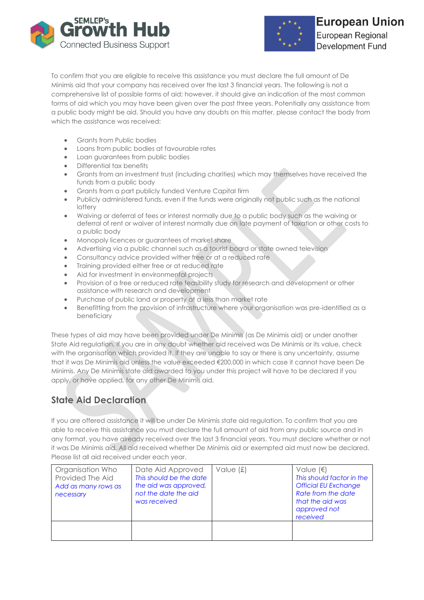



To confirm that you are eligible to receive this assistance you must declare the full amount of De Minimis aid that your company has received over the last 3 financial years. The following is not a comprehensive list of possible forms of aid; however, it should give an indication of the most common forms of aid which you may have been given over the past three years. Potentially any assistance from a public body might be aid. Should you have any doubts on this matter, please contact the body from which the assistance was received:

- Grants from Public bodies
- Loans from public bodies at favourable rates
- Loan guarantees from public bodies
- Differential tax benefits
- Grants from an investment trust (including charities) which may themselves have received the funds from a public body
- Grants from a part publicly funded Venture Capital firm
- Publicly administered funds, even if the funds were originally not public such as the national **lottery**
- Waiving or deferral of fees or interest normally due to a public body such as the waiving or deferral of rent or waiver of interest normally due on late payment of taxation or other costs to a public body
- Monopoly licences or guarantees of market share
- Advertising via a public channel such as a tourist board or state owned television
- Consultancy advice provided wither free or at a reduced rate
- Training provided either free or at reduced rate
- Aid for investment in environmental projects
- Provision of a free or reduced rate feasibility study for research and development or other assistance with research and development
- Purchase of public land or property at a less than market rate
- Benefitting from the provision of infrastructure where your organisation was pre-identified as a beneficiary

These types of aid may have been provided under De Minimis (as De Minimis aid) or under another State Aid regulation. If you are in any doubt whether aid received was De Minimis or its value, check with the organisation which provided it. If they are unable to say or there is any uncertainty, assume that it was De Minimis aid unless the value exceeded €200,000 in which case it cannot have been De Minimis. Any De Minimis state aid awarded to you under this project will have to be declared if you apply, or have applied, for any other De Minimis aid.

### **State Aid Declaration**

If you are offered assistance it will be under De Minimis state aid regulation. To confirm that you are able to receive this assistance you must declare the full amount of aid from any public source and in any format, you have already received over the last 3 financial years. You must declare whether or not it was De Minimis aid. All aid received whether De Minimis aid or exempted aid must now be declared. Please list all aid received under each year.

| Organisation Who<br>Provided The Aid<br>Add as many rows as<br>necessary | Date Aid Approved<br>This should be the date<br>the aid was approved,<br>not the date the aid<br>was received | Value $(f)$ | Value $(\epsilon)$<br>This should factor in the<br><b>Official EU Exchange</b><br>Rate from the date<br>that the aid was<br>approved not<br>received |
|--------------------------------------------------------------------------|---------------------------------------------------------------------------------------------------------------|-------------|------------------------------------------------------------------------------------------------------------------------------------------------------|
|                                                                          |                                                                                                               |             |                                                                                                                                                      |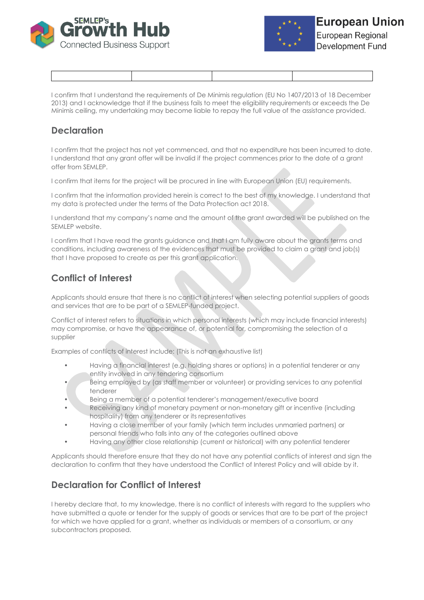



I confirm that I understand the requirements of De Minimis regulation (EU No 1407/2013 of 18 December 2013) and I acknowledge that if the business fails to meet the eligibility requirements or exceeds the De Minimis ceiling, my undertaking may become liable to repay the full value of the assistance provided.

### **Declaration**

I confirm that the project has not yet commenced, and that no expenditure has been incurred to date. I understand that any grant offer will be invalid if the project commences prior to the date of a grant offer from SEMLEP.

I confirm that items for the project will be procured in line with European Union (EU) requirements.

I confirm that the information provided herein is correct to the best of my knowledge. I understand that my data is protected under the terms of the Data Protection act 2018.

I understand that my company's name and the amount of the grant awarded will be published on the SEMLEP website.

I confirm that I have read the grants guidance and that I am fully aware about the grants terms and conditions, including awareness of the evidences that must be provided to claim a grant and job(s) that I have proposed to create as per this grant application.

### **Conflict of Interest**

Applicants should ensure that there is no conflict of interest when selecting potential suppliers of goods and services that are to be part of a SEMLEP-funded project.

Conflict of interest refers to situations in which personal interests (which may include financial interests) may compromise, or have the appearance of, or potential for, compromising the selection of a supplier

Examples of conflicts of interest include: (This is not an exhaustive list)

- Having a financial interest (e.g. holding shares or options) in a potential tenderer or any entity involved in any tendering consortium
- Being employed by (as staff member or volunteer) or providing services to any potential tenderer
- Being a member of a potential tenderer's management/executive board
- Receiving any kind of monetary payment or non-monetary gift or incentive (including hospitality) from any tenderer or its representatives
- Having a close member of your family (which term includes unmarried partners) or personal friends who falls into any of the categories outlined above
- Having any other close relationship (current or historical) with any potential tenderer

Applicants should therefore ensure that they do not have any potential conflicts of interest and sign the declaration to confirm that they have understood the Conflict of Interest Policy and will abide by it.

### **Declaration for Conflict of Interest**

I hereby declare that, to my knowledge, there is no conflict of interests with regard to the suppliers who have submitted a quote or tender for the supply of goods or services that are to be part of the project for which we have applied for a grant, whether as individuals or members of a consortium, or any subcontractors proposed.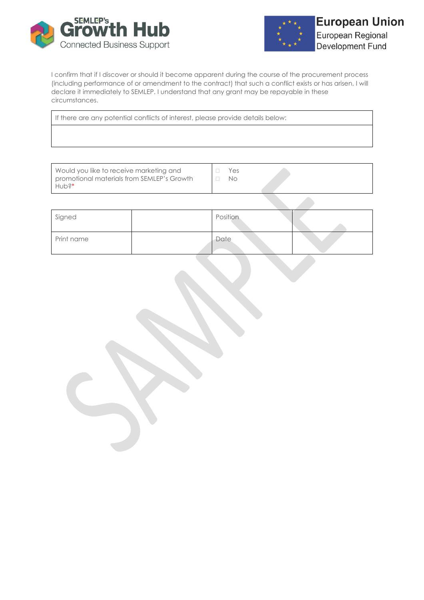



I confirm that if I discover or should it become apparent during the course of the procurement process (including performance of or amendment to the contract) that such a conflict exists or has arisen, I will declare it immediately to SEMLEP. I understand that any grant may be repayable in these circumstances.

If there are any potential conflicts of interest, please provide details below:

| Would you like to receive marketing and<br>promotional materials from SEMLEP's Growth<br>∣Hub?* | Yes<br>No |
|-------------------------------------------------------------------------------------------------|-----------|
|-------------------------------------------------------------------------------------------------|-----------|

| Signed     | Position |  |
|------------|----------|--|
| Print name | Date     |  |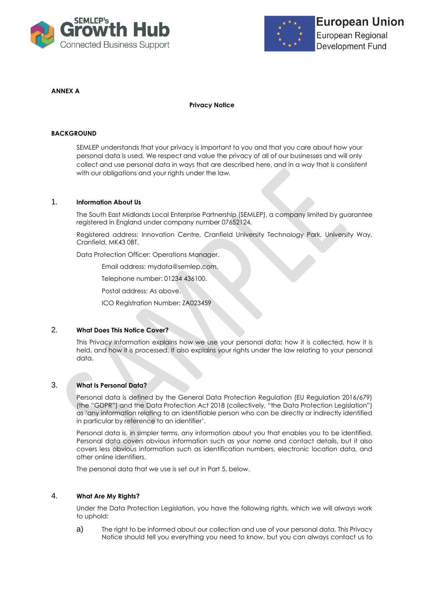



#### **ANNEX A**

#### **Privacy Notice**

#### **BACKGROUND**

SEMLEP understands that your privacy is important to you and that you care about how your personal data is used. We respect and value the privacy of all of our businesses and will only collect and use personal data in ways that are described here, and in a way that is consistent with our obligations and your rights under the law.

#### 1. **Information About Us**

The South East Midlands Local Enterprise Partnership (SEMLEP), a company limited by guarantee registered in England under company number 07652124.

Registered address: Innovation Centre, Cranfield University Technology Park, University Way, Cranfield, MK43 0BT.

Data Protection Officer: Operations Manager.

Email address: mydata@semlep.com.

Telephone number: 01234 436100.

Postal address: As above.

ICO Registration Number: ZA023459

#### 2. **What Does This Notice Cover?**

This Privacy Information explains how we use your personal data: how it is collected, how it is held, and how it is processed. It also explains your rights under the law relating to your personal data.

#### 3. **What Is Personal Data?**

Personal data is defined by the General Data Protection Regulation (EU Regulation 2016/679) (the "GDPR") and the Data Protection Act 2018 (collectively, "the Data Protection Legislation") as 'any information relating to an identifiable person who can be directly or indirectly identified in particular by reference to an identifier'.

Personal data is, in simpler terms, any information about you that enables you to be identified. Personal data covers obvious information such as your name and contact details, but it also covers less obvious information such as identification numbers, electronic location data, and other online identifiers.

The personal data that we use is set out in Part 5, below.

#### 4. **What Are My Rights?**

Under the Data Protection Legislation, you have the following rights, which we will always work to uphold:

a) The right to be informed about our collection and use of your personal data. This Privacy Notice should tell you everything you need to know, but you can always contact us to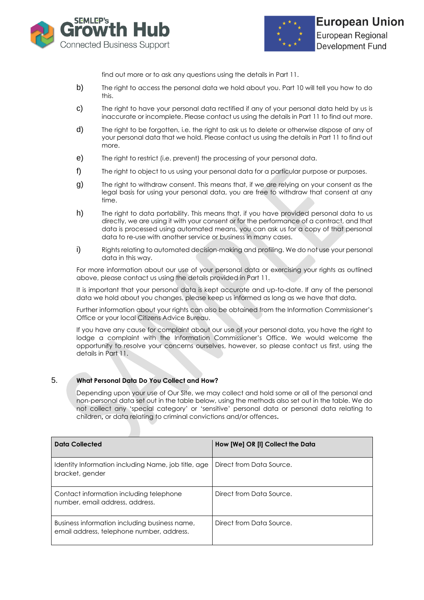



find out more or to ask any questions using the details in Part 11.

- b) The right to access the personal data we hold about you. Part 10 will tell you how to do this.
- c) The right to have your personal data rectified if any of your personal data held by us is inaccurate or incomplete. Please contact us using the details in Part 11 to find out more.
- d) The right to be forgotten, i.e. the right to ask us to delete or otherwise dispose of any of your personal data that we hold. Please contact us using the details in Part 11 to find out more.
- e) The right to restrict (i.e. prevent) the processing of your personal data.
- f) The right to object to us using your personal data for a particular purpose or purposes.
- g) The right to withdraw consent. This means that, if we are relying on your consent as the legal basis for using your personal data, you are free to withdraw that consent at any time.
- h) The right to data portability. This means that, if you have provided personal data to us directly, we are using it with your consent or for the performance of a contract, and that data is processed using automated means, you can ask us for a copy of that personal data to re-use with another service or business in many cases.
- i) Rights relating to automated decision-making and profiling. We do not use your personal data in this way.

For more information about our use of your personal data or exercising your rights as outlined above, please contact us using the details provided in Part 11.

It is important that your personal data is kept accurate and up-to-date. If any of the personal data we hold about you changes, please keep us informed as long as we have that data.

Further information about your rights can also be obtained from the Information Commissioner's Office or your local Citizens Advice Bureau.

If you have any cause for complaint about our use of your personal data, you have the right to lodge a complaint with the Information Commissioner's Office. We would welcome the opportunity to resolve your concerns ourselves, however, so please contact us first, using the details in Part 11.

#### 5. **What Personal Data Do You Collect and How?**

Depending upon your use of Our Site, we may collect and hold some or all of the personal and non-personal data set out in the table below, using the methods also set out in the table. We do not collect any 'special category' or 'sensitive' personal data or personal data relating to children**,** or data relating to criminal convictions and/or offences**.**

| <b>Data Collected</b>                                                                      | How [We] OR [I] Collect the Data |
|--------------------------------------------------------------------------------------------|----------------------------------|
| Identity Information including Name, job title, age<br>bracket, gender                     | Direct from Data Source.         |
| Contact information including telephone<br>number, email address, address.                 | Direct from Data Source.         |
| Business information including business name,<br>email address, telephone number, address. | Direct from Data Source.         |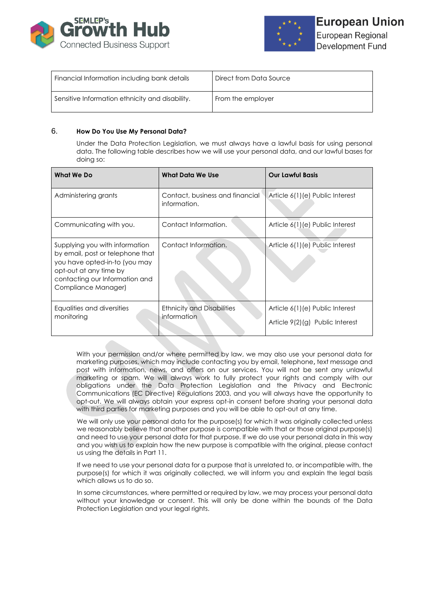



| Financial Information including bank details    | Direct from Data Source |
|-------------------------------------------------|-------------------------|
| Sensitive Information ethnicity and disability. | From the employer       |

#### 6. **How Do You Use My Personal Data?**

Under the Data Protection Legislation, we must always have a lawful basis for using personal data. The following table describes how we will use your personal data, and our lawful bases for doing so:

| <b>What We Do</b>                                                                                                                                                                      | What Data We Use                                 | <b>Our Lawful Basis</b>                                            |
|----------------------------------------------------------------------------------------------------------------------------------------------------------------------------------------|--------------------------------------------------|--------------------------------------------------------------------|
| Administering grants                                                                                                                                                                   | Contact, business and financial<br>information.  | Article 6(1)(e) Public Interest                                    |
| Communicating with you.                                                                                                                                                                | Contact Information.                             | Article 6(1)(e) Public Interest                                    |
| Supplying you with information<br>by email, post or telephone that<br>you have opted-in-to (you may<br>opt-out at any time by<br>contacting our Information and<br>Compliance Manager) | Contact Information.                             | Article 6(1)(e) Public Interest                                    |
| Equalities and diversities<br>monitoring                                                                                                                                               | <b>Ethnicity and Disabilities</b><br>information | Article 6(1)(e) Public Interest<br>Article 9(2)(g) Public Interest |

With your permission and/or where permitted by law, we may also use your personal data for marketing purposes, which may include contacting you by email, telephone**,** text message and post with information, news, and offers on our services. You will not be sent any unlawful marketing or spam. We will always work to fully protect your rights and comply with our obligations under the Data Protection Legislation and the Privacy and Electronic Communications (EC Directive) Regulations 2003, and you will always have the opportunity to opt-out. We will always obtain your express opt-in consent before sharing your personal data with third parties for marketing purposes and you will be able to opt-out at any time.

We will only use your personal data for the purpose(s) for which it was originally collected unless we reasonably believe that another purpose is compatible with that or those original purpose(s) and need to use your personal data for that purpose. If we do use your personal data in this way and you wish us to explain how the new purpose is compatible with the original, please contact us using the details in Part 11.

If we need to use your personal data for a purpose that is unrelated to, or incompatible with, the purpose(s) for which it was originally collected, we will inform you and explain the legal basis which allows us to do so.

In some circumstances, where permitted or required by law, we may process your personal data without your knowledge or consent. This will only be done within the bounds of the Data Protection Legislation and your legal rights.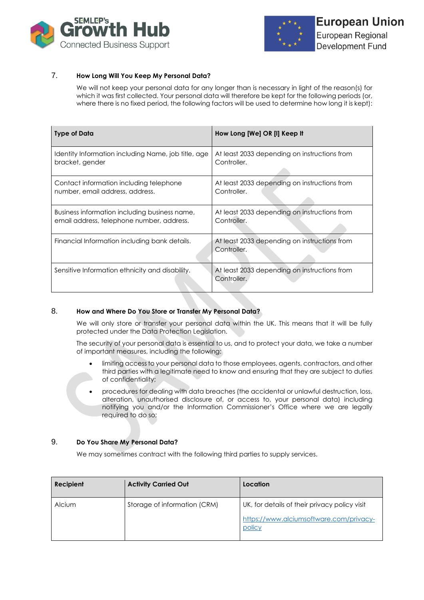



#### 7. **How Long Will You Keep My Personal Data?**

We will not keep your personal data for any longer than is necessary in light of the reason(s) for which it was first collected. Your personal data will therefore be kept for the following periods (or, where there is no fixed period, the following factors will be used to determine how long it is kept):

| <b>Type of Data</b>                                 | How Long [We] OR [I] Keep It                                |
|-----------------------------------------------------|-------------------------------------------------------------|
| Identity Information including Name, job title, age | At least 2033 depending on instructions from                |
| bracket, gender                                     | Controller.                                                 |
| Contact information including telephone             | At least 2033 depending on instructions from                |
| number, email address, address.                     | Controller.                                                 |
| Business information including business name,       | At least 2033 depending on instructions from                |
| email address, telephone number, address.           | Controller.                                                 |
| Financial Information including bank details.       | At least 2033 depending on instructions from<br>Controller. |
| Sensitive Information ethnicity and disability.     | At least 2033 depending on instructions from<br>Controller. |

#### 8. **How and Where Do You Store or Transfer My Personal Data?**

We will only store or transfer your personal data within the UK. This means that it will be fully protected under the Data Protection Legislation.

The security of your personal data is essential to us, and to protect your data, we take a number of important measures, including the following:

- limiting access to your personal data to those employees, agents, contractors, and other third parties with a legitimate need to know and ensuring that they are subject to duties of confidentiality;
- procedures for dealing with data breaches (the accidental or unlawful destruction, loss, alteration, unauthorised disclosure of, or access to, your personal data) including notifying you and/or the Information Commissioner's Office where we are legally required to do so;

#### 9. **Do You Share My Personal Data?**

We may sometimes contract with the following third parties to supply services.

| Recipient | <b>Activity Carried Out</b>  | Location                                          |
|-----------|------------------------------|---------------------------------------------------|
| Alcium    | Storage of information (CRM) | UK, for details of their privacy policy visit     |
|           |                              | https://www.alciumsoftware.com/privacy-<br>policy |